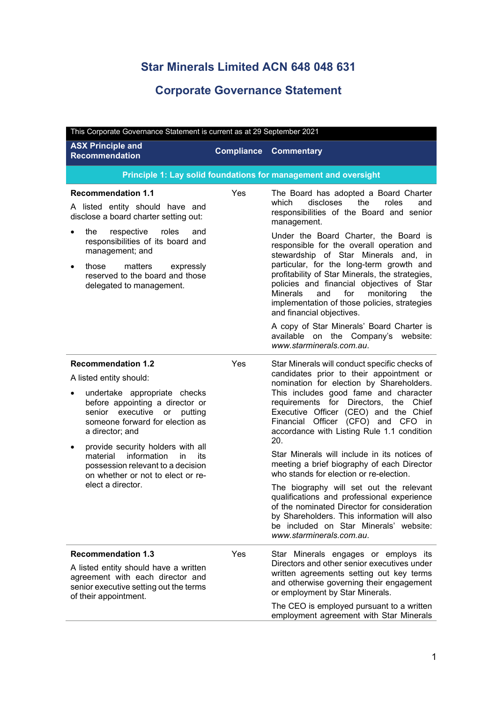## **Star Minerals Limited ACN 648 048 631**

## **Corporate Governance Statement**

| This Corporate Governance Statement is current as at 29 September 2021                                                                               |     |                                                                                                                                                                                                                                                                             |  |
|------------------------------------------------------------------------------------------------------------------------------------------------------|-----|-----------------------------------------------------------------------------------------------------------------------------------------------------------------------------------------------------------------------------------------------------------------------------|--|
| <b>ASX Principle and</b><br><b>Compliance</b><br><b>Recommendation</b>                                                                               |     | <b>Commentary</b>                                                                                                                                                                                                                                                           |  |
|                                                                                                                                                      |     | Principle 1: Lay solid foundations for management and oversight                                                                                                                                                                                                             |  |
| <b>Recommendation 1.1</b>                                                                                                                            | Yes | The Board has adopted a Board Charter                                                                                                                                                                                                                                       |  |
| A listed entity should have and<br>disclose a board charter setting out:                                                                             |     | discloses the<br>roles<br>which<br>and<br>responsibilities of the Board and senior<br>management.                                                                                                                                                                           |  |
| respective<br>roles<br>the<br>and<br>responsibilities of its board and<br>management; and                                                            |     | Under the Board Charter, the Board is<br>responsible for the overall operation and<br>stewardship of Star Minerals and, in                                                                                                                                                  |  |
| those<br>matters<br>expressly<br>reserved to the board and those<br>delegated to management.                                                         |     | particular, for the long-term growth and<br>profitability of Star Minerals, the strategies,<br>policies and financial objectives of Star<br><b>Minerals</b><br>and<br>for<br>monitoring<br>the<br>implementation of those policies, strategies<br>and financial objectives. |  |
|                                                                                                                                                      |     | A copy of Star Minerals' Board Charter is<br>available on the Company's website:<br>www.starminerals.com.au.                                                                                                                                                                |  |
| <b>Recommendation 1.2</b>                                                                                                                            | Yes | Star Minerals will conduct specific checks of                                                                                                                                                                                                                               |  |
| A listed entity should:                                                                                                                              |     | candidates prior to their appointment or<br>nomination for election by Shareholders.                                                                                                                                                                                        |  |
| undertake appropriate checks<br>before appointing a director or<br>senior executive or putting<br>someone forward for election as<br>a director; and |     | This includes good fame and character<br>requirements for Directors, the Chief<br>Executive Officer (CEO) and the Chief<br>Financial Officer (CFO) and CFO in<br>accordance with Listing Rule 1.1 condition<br>20.                                                          |  |
| provide security holders with all<br>information<br>material<br>in.<br>its<br>possession relevant to a decision<br>on whether or not to elect or re- |     | Star Minerals will include in its notices of<br>meeting a brief biography of each Director<br>who stands for election or re-election.                                                                                                                                       |  |
| elect a director.                                                                                                                                    |     | The biography will set out the relevant<br>qualifications and professional experience<br>of the nominated Director for consideration<br>by Shareholders. This information will also<br>be included on Star Minerals' website:<br>www.starminerals.com.au.                   |  |
| <b>Recommendation 1.3</b>                                                                                                                            | Yes | Star Minerals engages or employs its                                                                                                                                                                                                                                        |  |
| A listed entity should have a written<br>agreement with each director and<br>senior executive setting out the terms<br>of their appointment.         |     | Directors and other senior executives under<br>written agreements setting out key terms<br>and otherwise governing their engagement<br>or employment by Star Minerals.                                                                                                      |  |
|                                                                                                                                                      |     | The CEO is employed pursuant to a written<br>employment agreement with Star Minerals                                                                                                                                                                                        |  |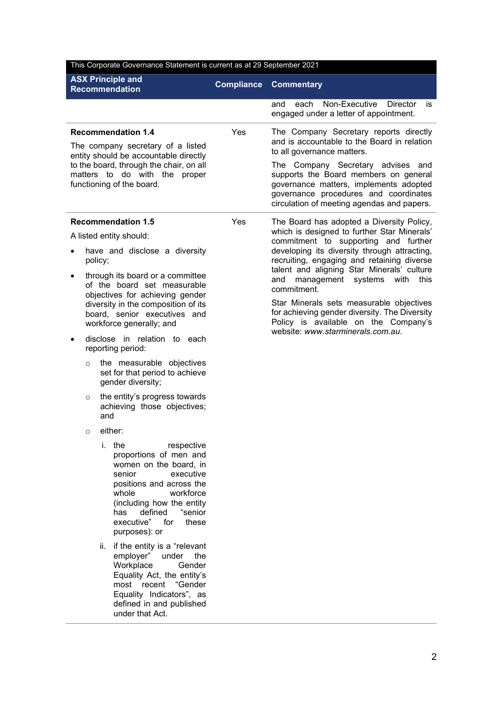| This Corporate Governance Statement is current as at 29 September 2021 |                                                                                                                                                                                                                                                         |                   |                                                                                                                                                                                                             |
|------------------------------------------------------------------------|---------------------------------------------------------------------------------------------------------------------------------------------------------------------------------------------------------------------------------------------------------|-------------------|-------------------------------------------------------------------------------------------------------------------------------------------------------------------------------------------------------------|
| <b>ASX Principle and</b><br><b>Recommendation</b>                      |                                                                                                                                                                                                                                                         | <b>Compliance</b> | <b>Commentary</b>                                                                                                                                                                                           |
|                                                                        |                                                                                                                                                                                                                                                         |                   | Non-Executive<br><b>Director</b><br>and<br>each<br>is.<br>engaged under a letter of appointment.                                                                                                            |
|                                                                        | <b>Recommendation 1.4</b><br>The company secretary of a listed<br>entity should be accountable directly                                                                                                                                                 | Yes               | The Company Secretary reports directly<br>and is accountable to the Board in relation<br>to all governance matters.                                                                                         |
|                                                                        | to the board, through the chair, on all<br>matters to do with the proper<br>functioning of the board.                                                                                                                                                   |                   | The Company Secretary advises and<br>supports the Board members on general<br>governance matters, implements adopted<br>governance procedures and coordinates<br>circulation of meeting agendas and papers. |
|                                                                        | <b>Recommendation 1.5</b>                                                                                                                                                                                                                               | Yes               | The Board has adopted a Diversity Policy,                                                                                                                                                                   |
|                                                                        | A listed entity should:                                                                                                                                                                                                                                 |                   | which is designed to further Star Minerals'<br>commitment to supporting and further                                                                                                                         |
|                                                                        | have and disclose a diversity<br>policy;<br>through its board or a committee                                                                                                                                                                            |                   | developing its diversity through attracting,<br>recruiting, engaging and retaining diverse<br>talent and aligning Star Minerals' culture                                                                    |
|                                                                        | of the board set measurable                                                                                                                                                                                                                             |                   | management systems<br>with<br>this<br>and<br>commitment.                                                                                                                                                    |
|                                                                        | objectives for achieving gender<br>diversity in the composition of its<br>board, senior executives and<br>workforce generally; and                                                                                                                      |                   | Star Minerals sets measurable objectives<br>for achieving gender diversity. The Diversity<br>Policy is available on the Company's<br>website: www.starminerals.com.au.                                      |
|                                                                        | disclose in relation to each<br>reporting period:                                                                                                                                                                                                       |                   |                                                                                                                                                                                                             |
| $\circ$                                                                | the measurable objectives<br>set for that period to achieve<br>gender diversity;                                                                                                                                                                        |                   |                                                                                                                                                                                                             |
| $\circ$                                                                | the entity's progress towards<br>achieving those objectives;<br>and                                                                                                                                                                                     |                   |                                                                                                                                                                                                             |
| $\circ$                                                                | either:                                                                                                                                                                                                                                                 |                   |                                                                                                                                                                                                             |
|                                                                        | i. the<br>respective<br>proportions of men and<br>women on the board, in<br>senior<br>executive<br>positions and across the<br>whole<br>workforce<br>(including how the entity<br>defined<br>"senior<br>has<br>executive" for<br>these<br>purposes): or |                   |                                                                                                                                                                                                             |
|                                                                        | if the entity is a "relevant<br>ii.<br>employer"<br>under<br>the<br>Workplace<br>Gender<br>Equality Act, the entity's<br>recent<br>"Gender<br>most<br>Equality Indicators", as<br>defined in and published<br>under that Act.                           |                   |                                                                                                                                                                                                             |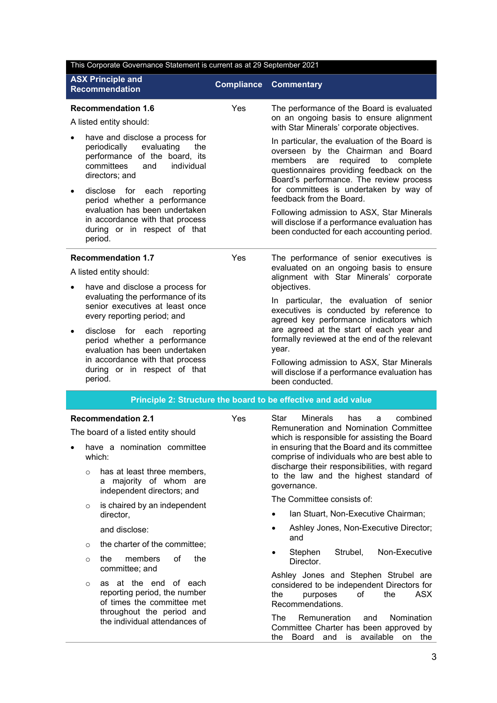| This Corporate Governance Statement is current as at 29 September 2021                                                                                     |                   |                                                                                                                                                                                                                            |
|------------------------------------------------------------------------------------------------------------------------------------------------------------|-------------------|----------------------------------------------------------------------------------------------------------------------------------------------------------------------------------------------------------------------------|
| <b>ASX Principle and</b><br><b>Recommendation</b>                                                                                                          | <b>Compliance</b> | <b>Commentary</b>                                                                                                                                                                                                          |
| <b>Recommendation 1.6</b><br>A listed entity should:                                                                                                       | Yes               | The performance of the Board is evaluated<br>on an ongoing basis to ensure alignment<br>with Star Minerals' corporate objectives.                                                                                          |
| have and disclose a process for<br>periodically<br>evaluating<br>the<br>performance of the board, its<br>committees<br>individual<br>and<br>directors; and |                   | In particular, the evaluation of the Board is<br>overseen by the Chairman and Board<br>required<br>members<br>to<br>complete<br>are<br>questionnaires providing feedback on the<br>Board's performance. The review process |
| disclose for each<br>reporting<br>period whether a performance                                                                                             |                   | for committees is undertaken by way of<br>feedback from the Board.                                                                                                                                                         |
| evaluation has been undertaken<br>in accordance with that process<br>during or in respect of that<br>period.                                               |                   | Following admission to ASX, Star Minerals<br>will disclose if a performance evaluation has<br>been conducted for each accounting period.                                                                                   |
| <b>Recommendation 1.7</b>                                                                                                                                  | Yes               | The performance of senior executives is                                                                                                                                                                                    |
| A listed entity should:                                                                                                                                    |                   | evaluated on an ongoing basis to ensure<br>alignment with Star Minerals' corporate                                                                                                                                         |
| have and disclose a process for<br>evaluating the performance of its<br>senior executives at least once                                                    |                   | objectives.<br>In particular, the evaluation of senior<br>executives is conducted by reference to                                                                                                                          |
| every reporting period; and                                                                                                                                |                   | agreed key performance indicators which<br>are agreed at the start of each year and                                                                                                                                        |
| disclose for each<br>reporting<br>٠<br>period whether a performance<br>evaluation has been undertaken                                                      | year.             | formally reviewed at the end of the relevant                                                                                                                                                                               |
| in accordance with that process<br>during or in respect of that<br>period.                                                                                 |                   | Following admission to ASX, Star Minerals<br>will disclose if a performance evaluation has<br>been conducted.                                                                                                              |
|                                                                                                                                                            |                   | Principle 2: Structure the board to be effective and add value                                                                                                                                                             |
| <b>Recommendation 2.1</b>                                                                                                                                  | Yes               | Star<br><b>Minerals</b><br>combined<br>has<br>a                                                                                                                                                                            |
| The board of a listed entity should                                                                                                                        |                   | Remuneration and Nomination Committee<br>which is responsible for assisting the Board                                                                                                                                      |
| have a nomination committee<br>which:                                                                                                                      |                   | in ensuring that the Board and its committee<br>comprise of individuals who are best able to                                                                                                                               |
| has at least three members,<br>$\circ$<br>a majority of whom are<br>independent directors; and                                                             |                   | discharge their responsibilities, with regard<br>to the law and the highest standard of<br>governance.                                                                                                                     |
| is chaired by an independent<br>$\circ$                                                                                                                    |                   | The Committee consists of:                                                                                                                                                                                                 |
| director,                                                                                                                                                  |                   | Ian Stuart, Non-Executive Chairman;                                                                                                                                                                                        |
| and disclose:                                                                                                                                              |                   | Ashley Jones, Non-Executive Director;<br>$\bullet$<br>and                                                                                                                                                                  |
| the charter of the committee;<br>$\circ$                                                                                                                   |                   | Stephen<br>Non-Executive<br>Strubel,<br>$\bullet$                                                                                                                                                                          |
| members<br>of<br>the<br>the<br>$\circ$<br>committee; and                                                                                                   |                   | Director.<br>Ashley Jones and Stephen Strubel are                                                                                                                                                                          |
| as at the end of each<br>$\circ$<br>reporting period, the number<br>of times the committee met                                                             |                   | considered to be independent Directors for<br>the<br>ASX<br>the<br>of<br>purposes<br>Recommendations.                                                                                                                      |
| throughout the period and<br>the individual attendances of                                                                                                 |                   | Nomination<br>The<br>Remuneration<br>and                                                                                                                                                                                   |

The Remuneration and Nomination Committee Charter has been approved by the Board and is available on the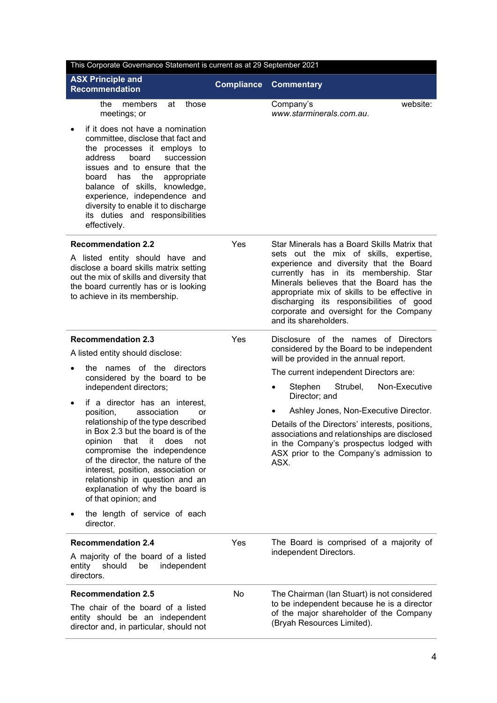| This Corporate Governance Statement is current as at 29 September 2021                                                                                                                                                                                                                                                                                                |                   |                                                                                                                                                                                                                                                                                                                                        |  |
|-----------------------------------------------------------------------------------------------------------------------------------------------------------------------------------------------------------------------------------------------------------------------------------------------------------------------------------------------------------------------|-------------------|----------------------------------------------------------------------------------------------------------------------------------------------------------------------------------------------------------------------------------------------------------------------------------------------------------------------------------------|--|
| <b>ASX Principle and</b><br><b>Recommendation</b>                                                                                                                                                                                                                                                                                                                     | <b>Compliance</b> | <b>Commentary</b>                                                                                                                                                                                                                                                                                                                      |  |
| the<br>members<br>at<br>those<br>meetings; or                                                                                                                                                                                                                                                                                                                         |                   | website:<br>Company's<br>www.starminerals.com.au.                                                                                                                                                                                                                                                                                      |  |
| if it does not have a nomination<br>committee, disclose that fact and<br>the processes it employs to<br>address<br>board<br>succession<br>issues and to ensure that the<br>has the<br>board<br>appropriate<br>balance of skills, knowledge,<br>experience, independence and<br>diversity to enable it to discharge<br>its duties and responsibilities<br>effectively. |                   |                                                                                                                                                                                                                                                                                                                                        |  |
| <b>Recommendation 2.2</b>                                                                                                                                                                                                                                                                                                                                             | Yes               | Star Minerals has a Board Skills Matrix that                                                                                                                                                                                                                                                                                           |  |
| A listed entity should have and<br>disclose a board skills matrix setting<br>out the mix of skills and diversity that<br>the board currently has or is looking<br>to achieve in its membership.                                                                                                                                                                       |                   | sets out the mix of skills, expertise,<br>experience and diversity that the Board<br>currently has in its membership. Star<br>Minerals believes that the Board has the<br>appropriate mix of skills to be effective in<br>discharging its responsibilities of good<br>corporate and oversight for the Company<br>and its shareholders. |  |
| <b>Recommendation 2.3</b>                                                                                                                                                                                                                                                                                                                                             | Yes               | Disclosure of the names of Directors<br>considered by the Board to be independent                                                                                                                                                                                                                                                      |  |
| A listed entity should disclose:                                                                                                                                                                                                                                                                                                                                      |                   | will be provided in the annual report.                                                                                                                                                                                                                                                                                                 |  |
| the names of the directors<br>considered by the board to be                                                                                                                                                                                                                                                                                                           |                   | The current independent Directors are:                                                                                                                                                                                                                                                                                                 |  |
| independent directors;<br>if a director has an interest,                                                                                                                                                                                                                                                                                                              |                   | Stephen<br>Strubel,<br>Non-Executive<br>٠<br>Director; and                                                                                                                                                                                                                                                                             |  |
| association<br>position,<br>or                                                                                                                                                                                                                                                                                                                                        |                   | Ashley Jones, Non-Executive Director.                                                                                                                                                                                                                                                                                                  |  |
| relationship of the type described<br>in Box 2.3 but the board is of the<br>opinion<br>that<br>it<br>does<br>not<br>compromise the independence<br>of the director, the nature of the<br>interest, position, association or<br>relationship in question and an<br>explanation of why the board is<br>of that opinion; and                                             |                   | Details of the Directors' interests, positions,<br>associations and relationships are disclosed<br>in the Company's prospectus lodged with<br>ASX prior to the Company's admission to<br>ASX.                                                                                                                                          |  |
| the length of service of each<br>director.                                                                                                                                                                                                                                                                                                                            |                   |                                                                                                                                                                                                                                                                                                                                        |  |
| <b>Recommendation 2.4</b>                                                                                                                                                                                                                                                                                                                                             | Yes               | The Board is comprised of a majority of                                                                                                                                                                                                                                                                                                |  |
| A majority of the board of a listed<br>independent<br>entity<br>should<br>be<br>directors.                                                                                                                                                                                                                                                                            |                   | independent Directors.                                                                                                                                                                                                                                                                                                                 |  |
| <b>Recommendation 2.5</b>                                                                                                                                                                                                                                                                                                                                             | No                | The Chairman (Ian Stuart) is not considered                                                                                                                                                                                                                                                                                            |  |
| The chair of the board of a listed<br>entity should be an independent<br>director and, in particular, should not                                                                                                                                                                                                                                                      |                   | to be independent because he is a director<br>of the major shareholder of the Company<br>(Bryah Resources Limited).                                                                                                                                                                                                                    |  |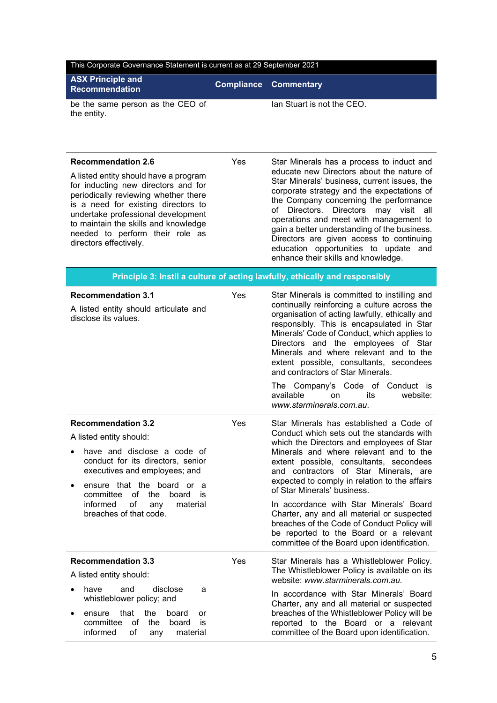| This Corporate Governance Statement is current as at 29 September 2021                                                                                                                                                                                                                                                              |                   |                                                                                                                                                                                                                                                                                                                                                                                                                                                                                                                                                                                  |  |
|-------------------------------------------------------------------------------------------------------------------------------------------------------------------------------------------------------------------------------------------------------------------------------------------------------------------------------------|-------------------|----------------------------------------------------------------------------------------------------------------------------------------------------------------------------------------------------------------------------------------------------------------------------------------------------------------------------------------------------------------------------------------------------------------------------------------------------------------------------------------------------------------------------------------------------------------------------------|--|
| <b>ASX Principle and</b><br><b>Recommendation</b>                                                                                                                                                                                                                                                                                   | <b>Compliance</b> | <b>Commentary</b>                                                                                                                                                                                                                                                                                                                                                                                                                                                                                                                                                                |  |
| be the same person as the CEO of<br>the entity.                                                                                                                                                                                                                                                                                     |                   | Ian Stuart is not the CEO.                                                                                                                                                                                                                                                                                                                                                                                                                                                                                                                                                       |  |
| <b>Recommendation 2.6</b><br>A listed entity should have a program<br>for inducting new directors and for<br>periodically reviewing whether there<br>is a need for existing directors to<br>undertake professional development<br>to maintain the skills and knowledge<br>needed to perform their role as<br>directors effectively. | Yes               | Star Minerals has a process to induct and<br>educate new Directors about the nature of<br>Star Minerals' business, current issues, the<br>corporate strategy and the expectations of<br>the Company concerning the performance<br>Directors.<br>Directors<br>may visit all<br>of<br>operations and meet with management to<br>gain a better understanding of the business.<br>Directors are given access to continuing<br>education opportunities to update and<br>enhance their skills and knowledge.                                                                           |  |
|                                                                                                                                                                                                                                                                                                                                     |                   | Principle 3: Instil a culture of acting lawfully, ethically and responsibly                                                                                                                                                                                                                                                                                                                                                                                                                                                                                                      |  |
| <b>Recommendation 3.1</b><br>A listed entity should articulate and<br>disclose its values.                                                                                                                                                                                                                                          | Yes               | Star Minerals is committed to instilling and<br>continually reinforcing a culture across the<br>organisation of acting lawfully, ethically and<br>responsibly. This is encapsulated in Star<br>Minerals' Code of Conduct, which applies to<br>Directors and the employees of Star<br>Minerals and where relevant and to the<br>extent possible, consultants, secondees<br>and contractors of Star Minerals.<br>The Company's Code of Conduct is<br>available<br><sub>on</sub><br>its<br>website:<br>www.starminerals.com.au.                                                     |  |
| <b>Recommendation 3.2</b><br>A listed entity should:<br>have and disclose a code of<br>conduct for its directors, senior<br>executives and employees; and<br>ensure that the board or a<br>of<br>committee<br>the<br>board<br>is<br>informed<br>of<br>material<br>any<br>breaches of that code.                                     | Yes               | Star Minerals has established a Code of<br>Conduct which sets out the standards with<br>which the Directors and employees of Star<br>Minerals and where relevant and to the<br>extent possible, consultants, secondees<br>and contractors of Star Minerals, are<br>expected to comply in relation to the affairs<br>of Star Minerals' business.<br>In accordance with Star Minerals' Board<br>Charter, any and all material or suspected<br>breaches of the Code of Conduct Policy will<br>be reported to the Board or a relevant<br>committee of the Board upon identification. |  |
| <b>Recommendation 3.3</b><br>A listed entity should:<br>have<br>disclose<br>and<br>a<br>whistleblower policy; and<br>that<br>the<br>board<br>ensure<br>or<br>committee<br>0f<br>the<br>board<br>is<br>informed<br>of<br>material<br>any                                                                                             | Yes               | Star Minerals has a Whistleblower Policy.<br>The Whistleblower Policy is available on its<br>website: www.starminerals.com.au.<br>In accordance with Star Minerals' Board<br>Charter, any and all material or suspected<br>breaches of the Whistleblower Policy will be<br>reported to the Board or a relevant<br>committee of the Board upon identification.                                                                                                                                                                                                                    |  |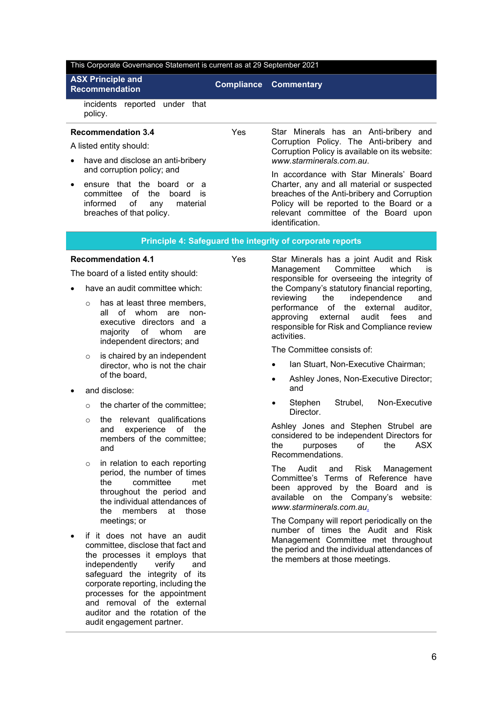#### This Corporate Governance Statement is current as at 29 September 2021

# **ASX Principle and**

**Recommendation Compliance Commentary**

incidents reported under that policy.

### **Recommendation 3.4**

A listed entity should:

- have and disclose an anti-bribery and corruption policy; and
- ensure that the board or a committee of the board is informed of any material breaches of that policy.

Yes Star Minerals has an Anti-bribery and Corruption Policy. The Anti-bribery and Corruption Policy is available on its website: *[www.starminerals.com.au](http://www.starminerals.com.au/)*.

> In accordance with Star Minerals' Board Charter, any and all material or suspected breaches of the Anti-bribery and Corruption Policy will be reported to the Board or a relevant committee of the Board upon identification.

### **Principle 4: Safeguard the integrity of corporate reports**

### **Recommendation 4.1**

The board of a listed entity should:

- have an audit committee which:
	- o has at least three members, all of whom are nonexecutive directors and a majority of whom are independent directors; and
	- $\circ$  is chaired by an independent director, who is not the chair of the board,
- and disclose:
	- o the charter of the committee;
	- o the relevant qualifications<br>and experience of the experience of the members of the committee; and
	- o in relation to each reporting period, the number of times the committee met throughout the period and the individual attendances of the members at those meetings; or
- if it does not have an audit committee, disclose that fact and the processes it employs that independently verify and safeguard the integrity of its corporate reporting, including the processes for the appointment and removal of the external auditor and the rotation of the audit engagement partner.

Yes Star Minerals has a joint Audit and Risk Management Committee which is responsible for overseeing the integrity of the Company's statutory financial reporting, independence and performance of the external auditor, approving external audit fees and responsible for Risk and Compliance review activities.

The Committee consists of:

- Ian Stuart, Non-Executive Chairman;
- Ashley Jones, Non-Executive Director; and
- Stephen Strubel, Non-Executive Director.

Ashley Jones and Stephen Strubel are considered to be independent Directors for the purposes of the ASX Recommendations.

The Audit and Risk Management Committee's Terms of Reference have been approved by the Board and is available on the Company's website: *[www.starminerals.com.au](http://www.starminerals.com.au/)*.

The Company will report periodically on the number of times the Audit and Risk Management Committee met throughout the period and the individual attendances of the members at those meetings.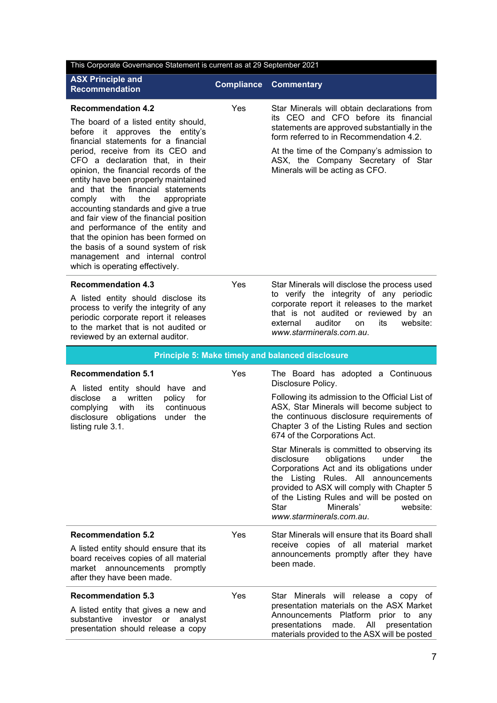| This Corporate Governance Statement is current as at 29 September 2021                                                                                                                                                                                                                                                                                                                                                                                                                                                                                                                                                                                            |                   |                                                                                                                                                                                                                                                                                                                                                                                                                                                                                                                                                                                                                                |  |
|-------------------------------------------------------------------------------------------------------------------------------------------------------------------------------------------------------------------------------------------------------------------------------------------------------------------------------------------------------------------------------------------------------------------------------------------------------------------------------------------------------------------------------------------------------------------------------------------------------------------------------------------------------------------|-------------------|--------------------------------------------------------------------------------------------------------------------------------------------------------------------------------------------------------------------------------------------------------------------------------------------------------------------------------------------------------------------------------------------------------------------------------------------------------------------------------------------------------------------------------------------------------------------------------------------------------------------------------|--|
| <b>ASX Principle and</b><br><b>Recommendation</b>                                                                                                                                                                                                                                                                                                                                                                                                                                                                                                                                                                                                                 | <b>Compliance</b> | <b>Commentary</b>                                                                                                                                                                                                                                                                                                                                                                                                                                                                                                                                                                                                              |  |
| <b>Recommendation 4.2</b><br>The board of a listed entity should,<br>approves the entity's<br>before it<br>financial statements for a financial<br>period, receive from its CEO and<br>CFO a declaration that, in their<br>opinion, the financial records of the<br>entity have been properly maintained<br>and that the financial statements<br>with<br>the<br>comply<br>appropriate<br>accounting standards and give a true<br>and fair view of the financial position<br>and performance of the entity and<br>that the opinion has been formed on<br>the basis of a sound system of risk<br>management and internal control<br>which is operating effectively. | Yes               | Star Minerals will obtain declarations from<br>its CEO and CFO before its financial<br>statements are approved substantially in the<br>form referred to in Recommendation 4.2.<br>At the time of the Company's admission to<br>ASX, the Company Secretary of Star<br>Minerals will be acting as CFO.                                                                                                                                                                                                                                                                                                                           |  |
| <b>Recommendation 4.3</b><br>A listed entity should disclose its<br>process to verify the integrity of any<br>periodic corporate report it releases<br>to the market that is not audited or<br>reviewed by an external auditor.                                                                                                                                                                                                                                                                                                                                                                                                                                   | Yes               | Star Minerals will disclose the process used<br>to verify the integrity of any periodic<br>corporate report it releases to the market<br>that is not audited or reviewed by an<br>auditor<br>its<br>website:<br>external<br>on<br>www.starminerals.com.au.                                                                                                                                                                                                                                                                                                                                                                     |  |
|                                                                                                                                                                                                                                                                                                                                                                                                                                                                                                                                                                                                                                                                   |                   | Principle 5: Make timely and balanced disclosure                                                                                                                                                                                                                                                                                                                                                                                                                                                                                                                                                                               |  |
| <b>Recommendation 5.1</b><br>A listed entity should have and<br>for<br>disclose<br>written<br>a i<br>policy<br>with<br>its<br>continuous<br>complying<br>disclosure<br>obligations<br>under the<br>listing rule 3.1.                                                                                                                                                                                                                                                                                                                                                                                                                                              | Yes               | The Board has adopted a Continuous<br>Disclosure Policy.<br>Following its admission to the Official List of<br>ASX, Star Minerals will become subject to<br>the continuous disclosure requirements of<br>Chapter 3 of the Listing Rules and section<br>674 of the Corporations Act.<br>Star Minerals is committed to observing its<br>the<br>disclosure<br>obligations<br>under<br>Corporations Act and its obligations under<br>the Listing Rules. All announcements<br>provided to ASX will comply with Chapter 5<br>of the Listing Rules and will be posted on<br>Minerals'<br>Star<br>website:<br>www.starminerals.com.au. |  |
| <b>Recommendation 5.2</b><br>A listed entity should ensure that its<br>board receives copies of all material<br>market announcements promptly<br>after they have been made.                                                                                                                                                                                                                                                                                                                                                                                                                                                                                       | Yes               | Star Minerals will ensure that its Board shall<br>receive copies of all material market<br>announcements promptly after they have<br>been made.                                                                                                                                                                                                                                                                                                                                                                                                                                                                                |  |
| <b>Recommendation 5.3</b><br>A listed entity that gives a new and<br>substantive investor or<br>analyst<br>presentation should release a copy                                                                                                                                                                                                                                                                                                                                                                                                                                                                                                                     | Yes               | Star Minerals will release a copy of<br>presentation materials on the ASX Market<br>Announcements Platform prior to any<br>presentations<br>made.<br>presentation<br>All<br>materials provided to the ASX will be posted                                                                                                                                                                                                                                                                                                                                                                                                       |  |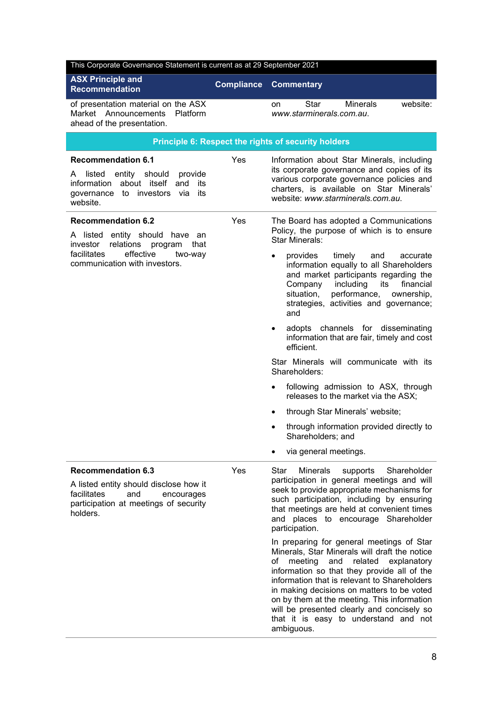| This Corporate Governance Statement is current as at 29 September 2021                                                                                        |                   |                                                                                                                                                                                                                                                                                                                                                                                                                                                                                                                                                                                                                                                                                                                                                     |  |
|---------------------------------------------------------------------------------------------------------------------------------------------------------------|-------------------|-----------------------------------------------------------------------------------------------------------------------------------------------------------------------------------------------------------------------------------------------------------------------------------------------------------------------------------------------------------------------------------------------------------------------------------------------------------------------------------------------------------------------------------------------------------------------------------------------------------------------------------------------------------------------------------------------------------------------------------------------------|--|
| <b>ASX Principle and</b><br><b>Recommendation</b>                                                                                                             | <b>Compliance</b> | <b>Commentary</b>                                                                                                                                                                                                                                                                                                                                                                                                                                                                                                                                                                                                                                                                                                                                   |  |
| of presentation material on the ASX<br>Market Announcements<br>Platform<br>ahead of the presentation.                                                         |                   | <b>Minerals</b><br>website:<br>Star<br>on<br>www.starminerals.com.au.                                                                                                                                                                                                                                                                                                                                                                                                                                                                                                                                                                                                                                                                               |  |
|                                                                                                                                                               |                   | Principle 6: Respect the rights of security holders                                                                                                                                                                                                                                                                                                                                                                                                                                                                                                                                                                                                                                                                                                 |  |
| <b>Recommendation 6.1</b><br>entity should<br>provide<br>A listed<br>information about itself and<br>its<br>governance to investors<br>via<br>its<br>website. | Yes               | Information about Star Minerals, including<br>its corporate governance and copies of its<br>various corporate governance policies and<br>charters, is available on Star Minerals'<br>website: www.starminerals.com.au.                                                                                                                                                                                                                                                                                                                                                                                                                                                                                                                              |  |
| <b>Recommendation 6.2</b><br>A listed entity should have an<br>investor<br>relations program<br>that                                                          | Yes               | The Board has adopted a Communications<br>Policy, the purpose of which is to ensure<br><b>Star Minerals:</b>                                                                                                                                                                                                                                                                                                                                                                                                                                                                                                                                                                                                                                        |  |
| effective<br>facilitates<br>two-way<br>communication with investors.                                                                                          |                   | timely<br>provides<br>and<br>accurate<br>information equally to all Shareholders<br>and market participants regarding the<br>including<br>financial<br>Company<br>its<br>situation,<br>performance,<br>ownership,<br>strategies, activities and governance;<br>and                                                                                                                                                                                                                                                                                                                                                                                                                                                                                  |  |
|                                                                                                                                                               |                   | adopts channels for disseminating<br>information that are fair, timely and cost<br>efficient.                                                                                                                                                                                                                                                                                                                                                                                                                                                                                                                                                                                                                                                       |  |
|                                                                                                                                                               |                   | Star Minerals will communicate with its<br>Shareholders:                                                                                                                                                                                                                                                                                                                                                                                                                                                                                                                                                                                                                                                                                            |  |
|                                                                                                                                                               |                   | following admission to ASX, through<br>$\bullet$<br>releases to the market via the ASX;                                                                                                                                                                                                                                                                                                                                                                                                                                                                                                                                                                                                                                                             |  |
|                                                                                                                                                               |                   | through Star Minerals' website;<br>$\bullet$                                                                                                                                                                                                                                                                                                                                                                                                                                                                                                                                                                                                                                                                                                        |  |
|                                                                                                                                                               |                   | through information provided directly to<br>Shareholders; and                                                                                                                                                                                                                                                                                                                                                                                                                                                                                                                                                                                                                                                                                       |  |
|                                                                                                                                                               |                   | via general meetings.                                                                                                                                                                                                                                                                                                                                                                                                                                                                                                                                                                                                                                                                                                                               |  |
| <b>Recommendation 6.3</b><br>A listed entity should disclose how it<br>facilitates<br>and<br>encourages<br>participation at meetings of security<br>holders.  | Yes               | Star<br>Shareholder<br><b>Minerals</b><br>supports<br>participation in general meetings and will<br>seek to provide appropriate mechanisms for<br>such participation, including by ensuring<br>that meetings are held at convenient times<br>and places to encourage Shareholder<br>participation.<br>In preparing for general meetings of Star<br>Minerals, Star Minerals will draft the notice<br>meeting<br>and<br>related<br>explanatory<br>of<br>information so that they provide all of the<br>information that is relevant to Shareholders<br>in making decisions on matters to be voted<br>on by them at the meeting. This information<br>will be presented clearly and concisely so<br>that it is easy to understand and not<br>ambiguous. |  |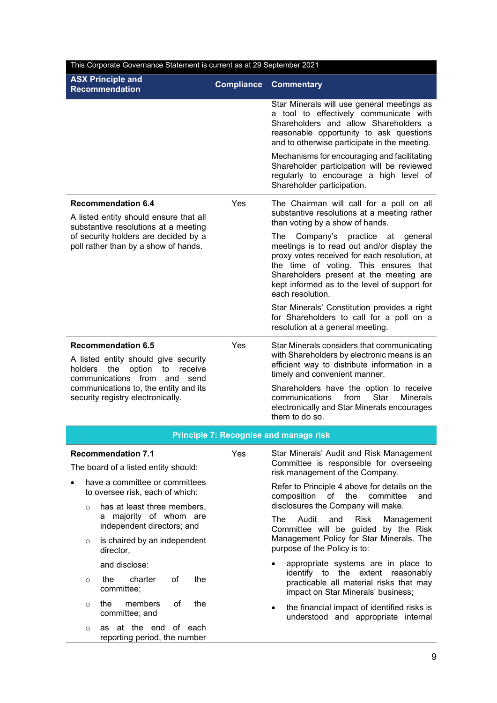| This Corporate Governance Statement is current as at 29 September 2021                                                                            |     |                                                                                                                                                                                                                                                                                                    |  |  |
|---------------------------------------------------------------------------------------------------------------------------------------------------|-----|----------------------------------------------------------------------------------------------------------------------------------------------------------------------------------------------------------------------------------------------------------------------------------------------------|--|--|
| <b>ASX Principle and</b><br><b>Compliance</b><br><b>Recommendation</b>                                                                            |     | <b>Commentary</b>                                                                                                                                                                                                                                                                                  |  |  |
|                                                                                                                                                   |     | Star Minerals will use general meetings as<br>a tool to effectively communicate with<br>Shareholders and allow Shareholders a<br>reasonable opportunity to ask questions<br>and to otherwise participate in the meeting.                                                                           |  |  |
|                                                                                                                                                   |     | Mechanisms for encouraging and facilitating<br>Shareholder participation will be reviewed<br>regularly to encourage a high level of<br>Shareholder participation.                                                                                                                                  |  |  |
| <b>Recommendation 6.4</b><br>A listed entity should ensure that all<br>substantive resolutions at a meeting                                       | Yes | The Chairman will call for a poll on all<br>substantive resolutions at a meeting rather<br>than voting by a show of hands.                                                                                                                                                                         |  |  |
| of security holders are decided by a<br>poll rather than by a show of hands.                                                                      |     | Company's<br>practice at<br>The l<br>general<br>meetings is to read out and/or display the<br>proxy votes received for each resolution, at<br>the time of voting. This ensures that<br>Shareholders present at the meeting are<br>kept informed as to the level of support for<br>each resolution. |  |  |
|                                                                                                                                                   |     | Star Minerals' Constitution provides a right<br>for Shareholders to call for a poll on a<br>resolution at a general meeting.                                                                                                                                                                       |  |  |
| <b>Recommendation 6.5</b><br>A listed entity should give security<br>option<br>the<br>to<br>receive<br>holders<br>communications from and<br>send | Yes | Star Minerals considers that communicating<br>with Shareholders by electronic means is an<br>efficient way to distribute information in a<br>timely and convenient manner.                                                                                                                         |  |  |
| communications to, the entity and its<br>security registry electronically.                                                                        |     | Shareholders have the option to receive<br>communications<br>from<br>Star<br><b>Minerals</b><br>electronically and Star Minerals encourages<br>them to do so.                                                                                                                                      |  |  |
|                                                                                                                                                   |     | <b>Principle 7: Recognise and manage risk</b>                                                                                                                                                                                                                                                      |  |  |
| <b>Recommendation 7.1</b><br>The board of a listed entity should:                                                                                 | Yes | Star Minerals' Audit and Risk Management<br>Committee is responsible for overseeing<br>risk management of the Company.                                                                                                                                                                             |  |  |
| have a committee or committees<br>to oversee risk, each of which:                                                                                 |     | Refer to Principle 4 above for details on the<br>of<br>the<br>composition<br>committee<br>and                                                                                                                                                                                                      |  |  |
| has at least three members,<br>$\circ$<br>majority of whom are<br>a<br>independent directors; and                                                 |     | disclosures the Company will make.<br>The<br>Audit<br>and<br><b>Risk</b><br>Management<br>Committee will be guided by the Risk                                                                                                                                                                     |  |  |
| is chaired by an independent<br>$\circ$<br>director,                                                                                              |     | Management Policy for Star Minerals. The<br>purpose of the Policy is to:                                                                                                                                                                                                                           |  |  |
| and disclose:<br>the<br>charter<br>of<br>the<br>$\circ$<br>committee;                                                                             |     | appropriate systems are in place to<br>$\bullet$<br>identify to the extent reasonably<br>practicable all material risks that may<br>impact on Star Minerals' business;                                                                                                                             |  |  |
| members<br>of<br>the<br>the<br>$\circ$<br>committee; and                                                                                          |     | the financial impact of identified risks is<br>understood and appropriate internal                                                                                                                                                                                                                 |  |  |
| as at the end of each<br>$\circ$<br>reporting period, the number                                                                                  |     |                                                                                                                                                                                                                                                                                                    |  |  |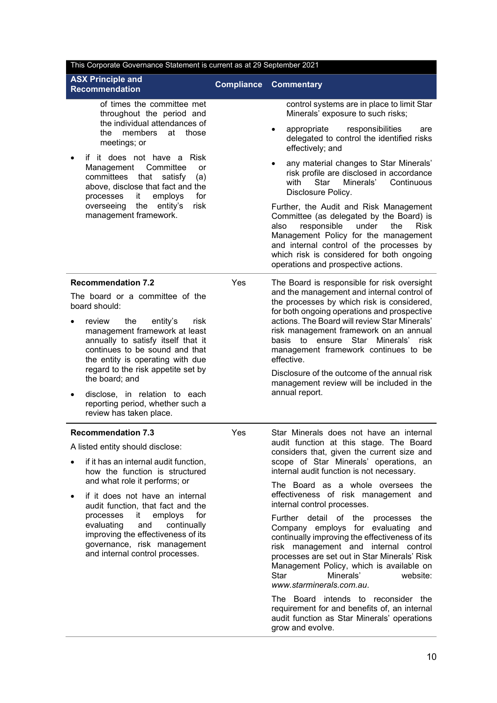| This Corporate Governance Statement is current as at 29 September 2021                                                                                                                                                                                                                   |                   |                                                                                                                                                                                                                                                                                                                                                                                                              |  |
|------------------------------------------------------------------------------------------------------------------------------------------------------------------------------------------------------------------------------------------------------------------------------------------|-------------------|--------------------------------------------------------------------------------------------------------------------------------------------------------------------------------------------------------------------------------------------------------------------------------------------------------------------------------------------------------------------------------------------------------------|--|
| <b>ASX Principle and</b><br><b>Recommendation</b>                                                                                                                                                                                                                                        | <b>Compliance</b> | <b>Commentary</b>                                                                                                                                                                                                                                                                                                                                                                                            |  |
| of times the committee met<br>throughout the period and<br>the individual attendances of                                                                                                                                                                                                 |                   | control systems are in place to limit Star<br>Minerals' exposure to such risks;                                                                                                                                                                                                                                                                                                                              |  |
| members<br>the<br>at<br>those<br>meetings; or                                                                                                                                                                                                                                            |                   | responsibilities<br>appropriate<br>are<br>delegated to control the identified risks<br>effectively; and                                                                                                                                                                                                                                                                                                      |  |
| if it does not have a Risk<br>Management Committee<br>or<br>committees<br>that<br>satisfy<br>(a)<br>above, disclose that fact and the<br>processes<br>it.<br>employs<br>for                                                                                                              |                   | any material changes to Star Minerals'<br>$\bullet$<br>risk profile are disclosed in accordance<br>Star<br>with<br>Minerals'<br>Continuous<br>Disclosure Policy.                                                                                                                                                                                                                                             |  |
| entity's<br>risk<br>overseeing<br>the<br>management framework.                                                                                                                                                                                                                           |                   | Further, the Audit and Risk Management<br>Committee (as delegated by the Board) is<br>also<br>responsible<br>under<br>the<br><b>Risk</b><br>Management Policy for the management<br>and internal control of the processes by<br>which risk is considered for both ongoing<br>operations and prospective actions.                                                                                             |  |
| <b>Recommendation 7.2</b><br>The board or a committee of the                                                                                                                                                                                                                             | Yes               | The Board is responsible for risk oversight<br>and the management and internal control of                                                                                                                                                                                                                                                                                                                    |  |
| board should:<br>review<br>the<br>entity's<br>risk<br>management framework at least<br>annually to satisfy itself that it<br>continues to be sound and that<br>the entity is operating with due<br>regard to the risk appetite set by<br>the board; and<br>disclose, in relation to each |                   | the processes by which risk is considered,<br>for both ongoing operations and prospective<br>actions. The Board will review Star Minerals'<br>risk management framework on an annual<br>Minerals'<br>Star<br>basis<br>to ensure<br>risk<br>management framework continues to be<br>effective.<br>Disclosure of the outcome of the annual risk<br>management review will be included in the<br>annual report. |  |
| reporting period, whether such a<br>review has taken place.                                                                                                                                                                                                                              |                   |                                                                                                                                                                                                                                                                                                                                                                                                              |  |
| <b>Recommendation 7.3</b>                                                                                                                                                                                                                                                                | Yes               | Star Minerals does not have an internal<br>audit function at this stage. The Board                                                                                                                                                                                                                                                                                                                           |  |
| A listed entity should disclose:<br>if it has an internal audit function,<br>how the function is structured                                                                                                                                                                              |                   | considers that, given the current size and<br>scope of Star Minerals' operations, an<br>internal audit function is not necessary.                                                                                                                                                                                                                                                                            |  |
| and what role it performs; or<br>if it does not have an internal<br>audit function, that fact and the                                                                                                                                                                                    |                   | The Board as a whole oversees the<br>effectiveness of risk management and<br>internal control processes.                                                                                                                                                                                                                                                                                                     |  |
| employs<br>processes<br>it<br>for<br>evaluating<br>and<br>continually<br>improving the effectiveness of its<br>governance, risk management<br>and internal control processes.                                                                                                            |                   | Further detail of the processes<br>the<br>Company employs for evaluating and<br>continually improving the effectiveness of its<br>risk management and internal control<br>processes are set out in Star Minerals' Risk<br>Management Policy, which is available on<br>Star<br>Minerals'<br>website:<br>www.starminerals.com.au.                                                                              |  |
|                                                                                                                                                                                                                                                                                          |                   | The Board intends to reconsider the<br>requirement for and benefits of, an internal<br>audit function as Star Minerals' operations<br>grow and evolve.                                                                                                                                                                                                                                                       |  |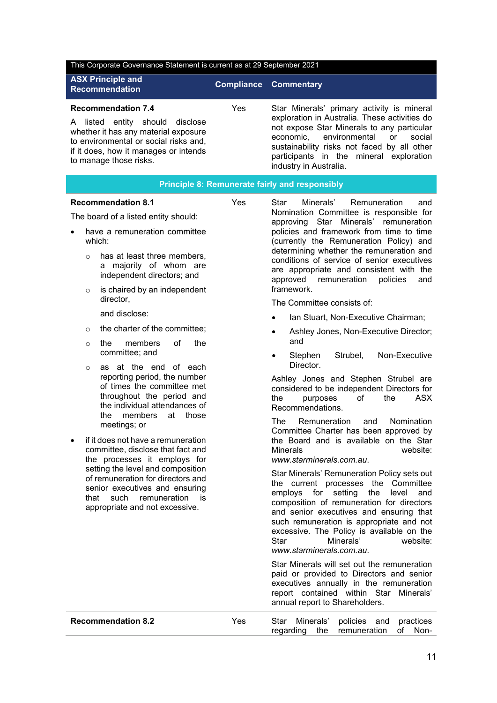| This Corporate Governance Statement is current as at 29 September 2021                                                                                                                 |            |                                                                                                                                                                                                                                                                   |  |
|----------------------------------------------------------------------------------------------------------------------------------------------------------------------------------------|------------|-------------------------------------------------------------------------------------------------------------------------------------------------------------------------------------------------------------------------------------------------------------------|--|
| <b>ASX Principle and</b><br><b>Recommendation</b>                                                                                                                                      |            | <b>Compliance Commentary</b>                                                                                                                                                                                                                                      |  |
| <b>Recommendation 7.4</b>                                                                                                                                                              | <b>Yes</b> | Star Minerals' primary activity is mineral                                                                                                                                                                                                                        |  |
| listed entity should disclose<br>A<br>whether it has any material exposure<br>to environmental or social risks and,<br>if it does, how it manages or intends<br>to manage those risks. |            | exploration in Australia. These activities do<br>not expose Star Minerals to any particular<br>economic, environmental<br>social<br><b>or</b><br>sustainability risks not faced by all other<br>participants in the mineral exploration<br>industry in Australia. |  |
|                                                                                                                                                                                        |            | <b>Principle 8: Remunerate fairly and responsibly</b>                                                                                                                                                                                                             |  |
| <b>Recommendation 8.1</b>                                                                                                                                                              | Yes.       | Minerals'<br>Remuneration<br>Star<br>and<br>Nomination Committee is responsible for                                                                                                                                                                               |  |

The board of a listed entity should:

- have a remuneration committee which:
	- $\circ$  has at least three members. a majority of whom are independent directors; and
	- $\circ$  is chaired by an independent director,

and disclose:

- $\circ$  the charter of the committee:
- o the members of the committee; and
- o as at the end of each reporting period, the number of times the committee met throughout the period and the individual attendances of the members at those meetings; or
- if it does not have a remuneration committee, disclose that fact and the processes it employs for setting the level and composition of remuneration for directors and senior executives and ensuring that such remuneration is appropriate and not excessive.

Nomination Committee is responsible for approving Star Minerals' remuneration policies and framework from time to time (currently the Remuneration Policy) and determining whether the remuneration and conditions of service of senior executives are appropriate and consistent with the approved remuneration policies and framework.

The Committee consists of:

- Ian Stuart, Non-Executive Chairman:
- Ashley Jones, Non-Executive Director; and
- Stephen Strubel. Non-Executive Director.

Ashley Jones and Stephen Strubel are considered to be independent Directors for the purposes of the ASX Recommendations.

The Remuneration and Nomination Committee Charter has been approved by the Board and is available on the Star Minerals website: *[www.starminerals.com.au](http://www.starminerals.com.au/)*.

Star Minerals' Remuneration Policy sets out the current processes the Committee employs for setting the level and composition of remuneration for directors and senior executives and ensuring that such remuneration is appropriate and not excessive. The Policy is available on the Star Minerals' website: *[www.starminerals.com.au](http://www.starminerals.com.au/)*.

Star Minerals will set out the remuneration paid or provided to Directors and senior executives annually in the remuneration report contained within Star Minerals' annual report to Shareholders.

| <b>Recommendation 8.2</b> | Yes | Star Minerals' policies and practices |  |
|---------------------------|-----|---------------------------------------|--|
|                           |     | regarding the remuneration of Non-    |  |